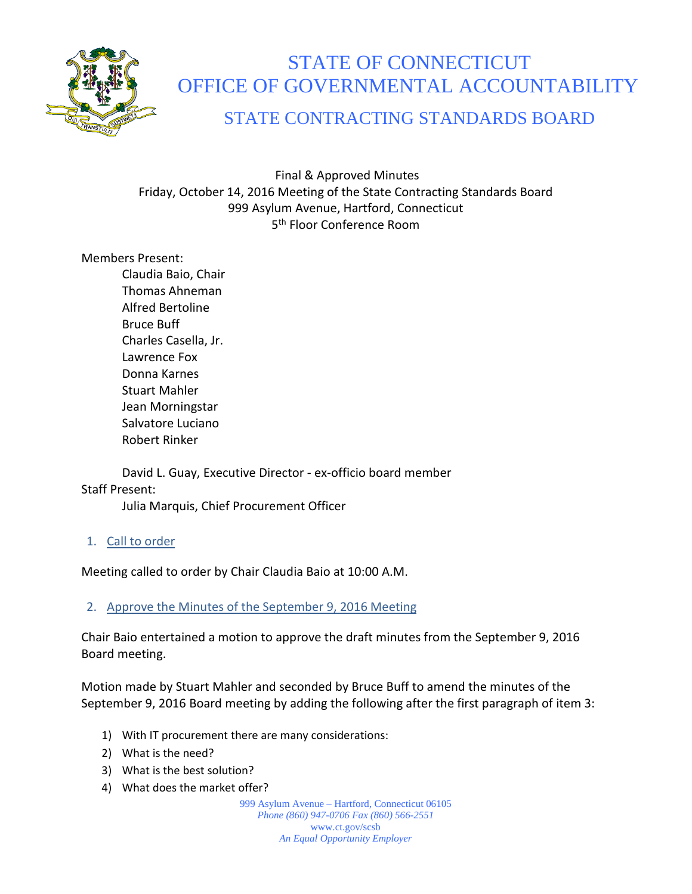

# STATE OF CONNECTICUT OFFICE OF GOVERNMENTAL ACCOUNTABILITY

# STATE CONTRACTING STANDARDS BOARD

Final & Approved Minutes Friday, October 14, 2016 Meeting of the State Contracting Standards Board 999 Asylum Avenue, Hartford, Connecticut 5<sup>th</sup> Floor Conference Room

#### Members Present:

Claudia Baio, Chair Thomas Ahneman Alfred Bertoline Bruce Buff Charles Casella, Jr. Lawrence Fox Donna Karnes Stuart Mahler Jean Morningstar Salvatore Luciano Robert Rinker

David L. Guay, Executive Director - ex-officio board member Staff Present:

Julia Marquis, Chief Procurement Officer

#### 1. Call to order

Meeting called to order by Chair Claudia Baio at 10:00 A.M.

#### 2. Approve the Minutes of the September 9, 2016 Meeting

Chair Baio entertained a motion to approve the draft minutes from the September 9, 2016 Board meeting.

Motion made by Stuart Mahler and seconded by Bruce Buff to amend the minutes of the September 9, 2016 Board meeting by adding the following after the first paragraph of item 3:

- 1) With IT procurement there are many considerations:
- 2) What is the need?
- 3) What is the best solution?
- 4) What does the market offer?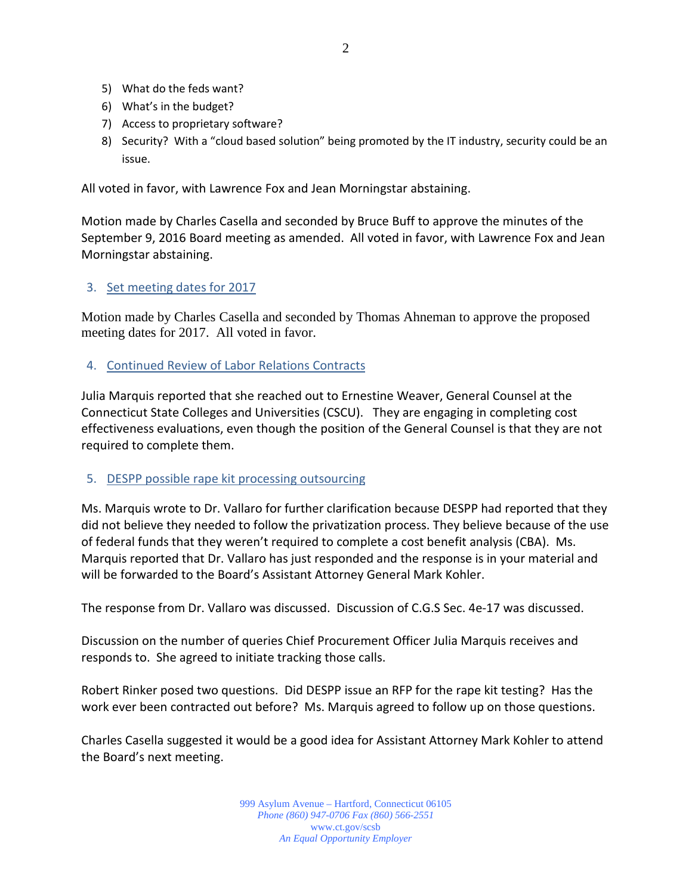- 5) What do the feds want?
- 6) What's in the budget?
- 7) Access to proprietary software?
- 8) Security? With a "cloud based solution" being promoted by the IT industry, security could be an issue.

All voted in favor, with Lawrence Fox and Jean Morningstar abstaining.

Motion made by Charles Casella and seconded by Bruce Buff to approve the minutes of the September 9, 2016 Board meeting as amended. All voted in favor, with Lawrence Fox and Jean Morningstar abstaining.

#### 3. Set meeting dates for 2017

Motion made by Charles Casella and seconded by Thomas Ahneman to approve the proposed meeting dates for 2017. All voted in favor.

4. Continued Review of Labor Relations Contracts

Julia Marquis reported that she reached out to Ernestine Weaver, General Counsel at the Connecticut State Colleges and Universities (CSCU). They are engaging in completing cost effectiveness evaluations, even though the position of the General Counsel is that they are not required to complete them.

#### 5. DESPP possible rape kit processing outsourcing

Ms. Marquis wrote to Dr. Vallaro for further clarification because DESPP had reported that they did not believe they needed to follow the privatization process. They believe because of the use of federal funds that they weren't required to complete a cost benefit analysis (CBA). Ms. Marquis reported that Dr. Vallaro has just responded and the response is in your material and will be forwarded to the Board's Assistant Attorney General Mark Kohler.

The response from Dr. Vallaro was discussed. Discussion of C.G.S Sec. 4e-17 was discussed.

Discussion on the number of queries Chief Procurement Officer Julia Marquis receives and responds to. She agreed to initiate tracking those calls.

Robert Rinker posed two questions. Did DESPP issue an RFP for the rape kit testing? Has the work ever been contracted out before? Ms. Marquis agreed to follow up on those questions.

Charles Casella suggested it would be a good idea for Assistant Attorney Mark Kohler to attend the Board's next meeting.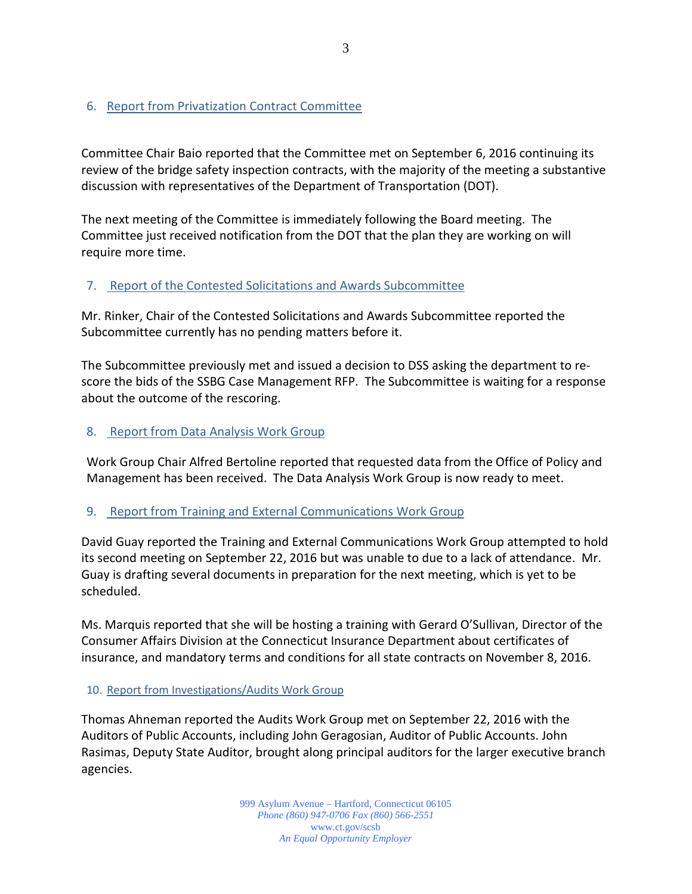#### 6. Report from Privatization Contract Committee

Committee Chair Baio reported that the Committee met on September 6, 2016 continuing its review of the bridge safety inspection contracts, with the majority of the meeting a substantive discussion with representatives of the Department of Transportation (DOT).

The next meeting of the Committee is immediately following the Board meeting. The Committee just received notification from the DOT that the plan they are working on will require more time.

#### 7. Report of the Contested Solicitations and Awards Subcommittee

Mr. Rinker, Chair of the Contested Solicitations and Awards Subcommittee reported the Subcommittee currently has no pending matters before it.

The Subcommittee previously met and issued a decision to DSS asking the department to rescore the bids of the SSBG Case Management RFP. The Subcommittee is waiting for a response about the outcome of the rescoring.

#### 8. Report from Data Analysis Work Group

Work Group Chair Alfred Bertoline reported that requested data from the Office of Policy and Management has been received. The Data Analysis Work Group is now ready to meet.

#### 9. Report from Training and External Communications Work Group

David Guay reported the Training and External Communications Work Group attempted to hold its second meeting on September 22, 2016 but was unable to due to a lack of attendance. Mr. Guay is drafting several documents in preparation for the next meeting, which is yet to be scheduled.

Ms. Marquis reported that she will be hosting a training with Gerard O'Sullivan, Director of the Consumer Affairs Division at the Connecticut Insurance Department about certificates of insurance, and mandatory terms and conditions for all state contracts on November 8, 2016.

#### 10. Report from Investigations/Audits Work Group

Thomas Ahneman reported the Audits Work Group met on September 22, 2016 with the Auditors of Public Accounts, including John Geragosian, Auditor of Public Accounts. John Rasimas, Deputy State Auditor, brought along principal auditors for the larger executive branch agencies.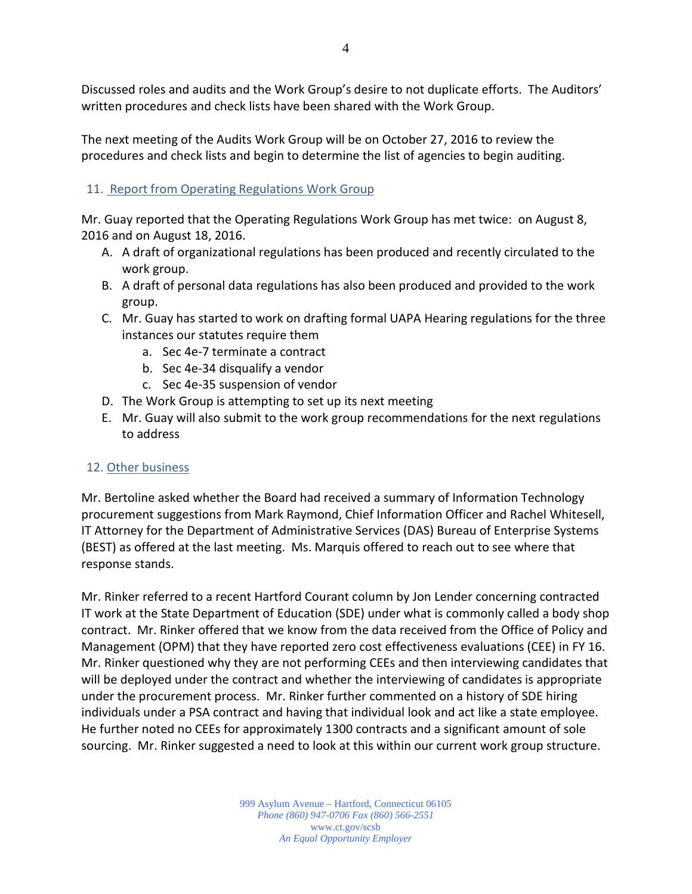Discussed roles and audits and the Work Group's desire to not duplicate efforts. The Auditors' written procedures and check lists have been shared with the Work Group.

The next meeting of the Audits Work Group will be on October 27, 2016 to review the procedures and check lists and begin to determine the list of agencies to begin auditing.

## 11. Report from Operating Regulations Work Group

Mr. Guay reported that the Operating Regulations Work Group has met twice: on August 8, 2016 and on August 18, 2016.

- A. A draft of organizational regulations has been produced and recently circulated to the work group.
- B. A draft of personal data regulations has also been produced and provided to the work group.
- C. Mr. Guay has started to work on drafting formal UAPA Hearing regulations for the three instances our statutes require them
	- a. Sec 4e-7 terminate a contract
	- b. Sec 4e-34 disqualify a vendor
	- c. Sec 4e-35 suspension of vendor
- D. The Work Group is attempting to set up its next meeting
- E. Mr. Guay will also submit to the work group recommendations for the next regulations to address

### 12. Other business

Mr. Bertoline asked whether the Board had received a summary of Information Technology procurement suggestions from Mark Raymond, Chief Information Officer and Rachel Whitesell, IT Attorney for the Department of Administrative Services (DAS) Bureau of Enterprise Systems (BEST) as offered at the last meeting. Ms. Marquis offered to reach out to see where that response stands.

Mr. Rinker referred to a recent Hartford Courant column by Jon Lender concerning contracted IT work at the State Department of Education (SDE) under what is commonly called a body shop contract. Mr. Rinker offered that we know from the data received from the Office of Policy and Management (OPM) that they have reported zero cost effectiveness evaluations (CEE) in FY 16. Mr. Rinker questioned why they are not performing CEEs and then interviewing candidates that will be deployed under the contract and whether the interviewing of candidates is appropriate under the procurement process. Mr. Rinker further commented on a history of SDE hiring individuals under a PSA contract and having that individual look and act like a state employee. He further noted no CEEs for approximately 1300 contracts and a significant amount of sole sourcing. Mr. Rinker suggested a need to look at this within our current work group structure.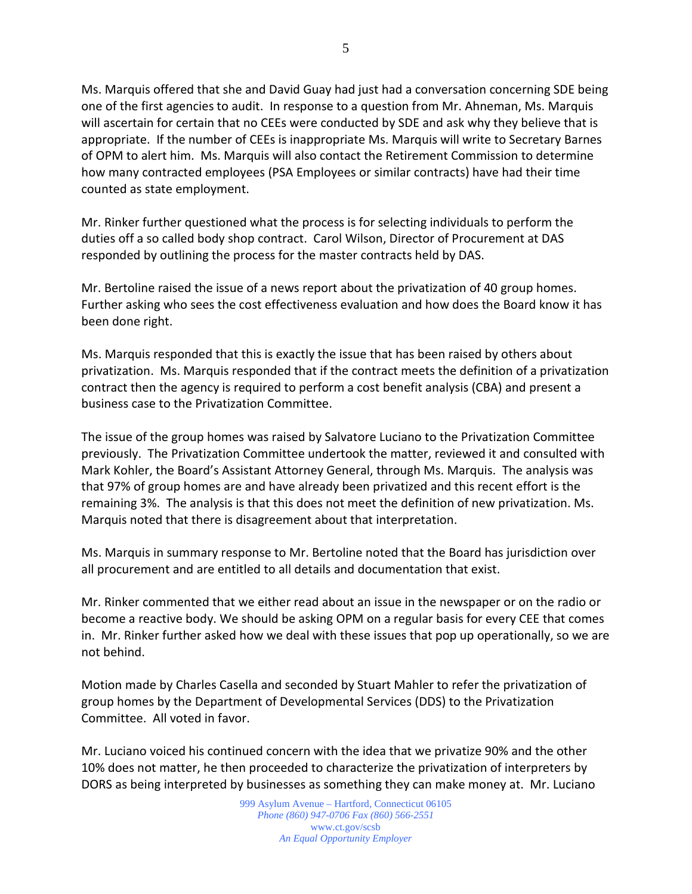5

Ms. Marquis offered that she and David Guay had just had a conversation concerning SDE being one of the first agencies to audit. In response to a question from Mr. Ahneman, Ms. Marquis will ascertain for certain that no CEEs were conducted by SDE and ask why they believe that is appropriate. If the number of CEEs is inappropriate Ms. Marquis will write to Secretary Barnes of OPM to alert him. Ms. Marquis will also contact the Retirement Commission to determine how many contracted employees (PSA Employees or similar contracts) have had their time counted as state employment.

Mr. Rinker further questioned what the process is for selecting individuals to perform the duties off a so called body shop contract. Carol Wilson, Director of Procurement at DAS responded by outlining the process for the master contracts held by DAS.

Mr. Bertoline raised the issue of a news report about the privatization of 40 group homes. Further asking who sees the cost effectiveness evaluation and how does the Board know it has been done right.

Ms. Marquis responded that this is exactly the issue that has been raised by others about privatization. Ms. Marquis responded that if the contract meets the definition of a privatization contract then the agency is required to perform a cost benefit analysis (CBA) and present a business case to the Privatization Committee.

The issue of the group homes was raised by Salvatore Luciano to the Privatization Committee previously. The Privatization Committee undertook the matter, reviewed it and consulted with Mark Kohler, the Board's Assistant Attorney General, through Ms. Marquis. The analysis was that 97% of group homes are and have already been privatized and this recent effort is the remaining 3%. The analysis is that this does not meet the definition of new privatization. Ms. Marquis noted that there is disagreement about that interpretation.

Ms. Marquis in summary response to Mr. Bertoline noted that the Board has jurisdiction over all procurement and are entitled to all details and documentation that exist.

Mr. Rinker commented that we either read about an issue in the newspaper or on the radio or become a reactive body. We should be asking OPM on a regular basis for every CEE that comes in. Mr. Rinker further asked how we deal with these issues that pop up operationally, so we are not behind.

Motion made by Charles Casella and seconded by Stuart Mahler to refer the privatization of group homes by the Department of Developmental Services (DDS) to the Privatization Committee. All voted in favor.

Mr. Luciano voiced his continued concern with the idea that we privatize 90% and the other 10% does not matter, he then proceeded to characterize the privatization of interpreters by DORS as being interpreted by businesses as something they can make money at. Mr. Luciano